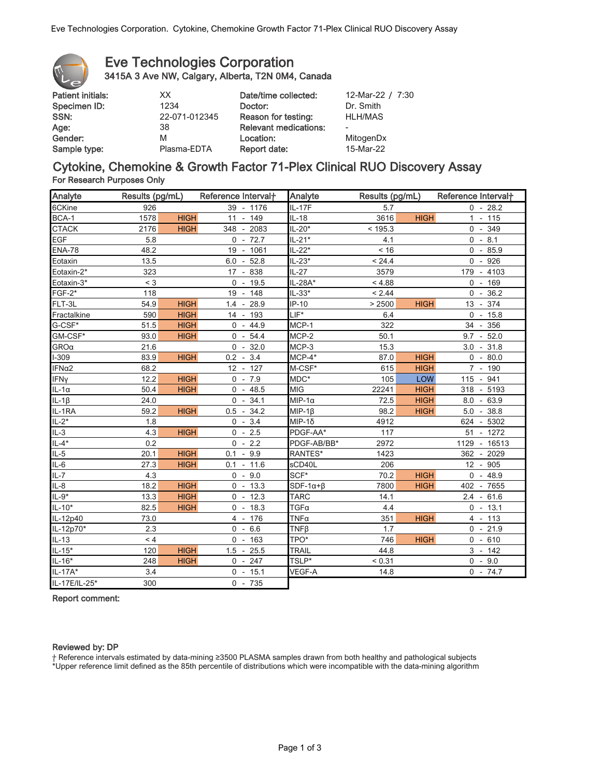

# Eve Technologies Corporation 3415A 3 Ave NW, Calgary, Alberta, T2N 0M4, Canada

| 12-Mar-22 / 7:30 |
|------------------|
| Dr. Smith        |
| <b>HLH/MAS</b>   |
|                  |
| MitogenDx        |
| 15-Mar-22        |
|                  |

# Cytokine, Chemokine & Growth Factor 71-Plex Clinical RUO Discovery Assay For Research Purposes Only

| Analyte             | Results (pg/mL) |             | Reference Interval <sup>+</sup> | Analyte             | Results (pg/mL) |             | Reference Interval+ |  |
|---------------------|-----------------|-------------|---------------------------------|---------------------|-----------------|-------------|---------------------|--|
| 6CKine              | 926             |             | 39 - 1176                       | <b>IL-17F</b>       | 5.7             |             | $0 - 28.2$          |  |
| BCA-1               | 1578            | <b>HIGH</b> | 11 - 149                        | $IL-18$             | 3616            | <b>HIGH</b> | $1 - 115$           |  |
| <b>CTACK</b>        | 2176            | <b>HIGH</b> | 348 - 2083                      | $IL-20*$            | < 195.3         |             | $0 - 349$           |  |
| <b>EGF</b>          | 5.8             |             | $0 - 72.7$                      | $IL-21*$            | 4.1             |             | $0 - 8.1$           |  |
| <b>ENA-78</b>       | 48.2            |             | 19 - 1061                       | $IL-22*$            | < 16            |             | $0 - 85.9$          |  |
| Eotaxin             | 13.5            |             | $6.0 - 52.8$                    | $IL-23*$            | < 24.4          |             | $0 - 926$           |  |
| Eotaxin-2*          | 323             |             | 17 - 838                        | $IL-27$             | 3579            |             | 179 - 4103          |  |
| Eotaxin-3*          | $<$ 3           |             | $0 - 19.5$                      | IL-28A*             | < 4.88          |             | $0 - 169$           |  |
| $FGF-2*$            | 118             |             | 19 - 148                        | $IL-33*$            | < 2.44          |             | $0 - 36.2$          |  |
| FLT-3L              | 54.9            | <b>HIGH</b> | $1.4 - 28.9$                    | $IP-10$             | > 2500          | <b>HIGH</b> | 13 - 374            |  |
| Fractalkine         | 590             | <b>HIGH</b> | 14 - 193                        | $LIF^*$             | 6.4             |             | $0 - 15.8$          |  |
| G-CSF*              | 51.5            | <b>HIGH</b> | $0 - 44.9$                      | MCP-1               | 322             |             | 34 - 356            |  |
| GM-CSF*             | 93.0            | <b>HIGH</b> | $0 - 54.4$                      | MCP-2               | 50.1            |             | $9.7 - 52.0$        |  |
| $GRO\alpha$         | 21.6            |             | $0 - 32.0$                      | MCP-3               | 15.3            |             | $3.0 - 31.8$        |  |
| $1-309$             | 83.9            | <b>HIGH</b> | $0.2 - 3.4$                     | $MCP-4*$            | 87.0            | <b>HIGH</b> | $0 - 80.0$          |  |
| IFNα2               | 68.2            |             | 12 - 127                        | M-CSF*              | 615             | <b>HIGH</b> | 7 - 190             |  |
| <b>IFNy</b>         | 12.2            | <b>HIGH</b> | $0 - 7.9$                       | MDC*                | 105             | LOW         | 115 - 941           |  |
| $IL-1\alpha$        | 50.4            | <b>HIGH</b> | $0 - 48.5$                      | <b>MIG</b>          | 22241           | <b>HIGH</b> | 318 - 5193          |  |
| $IL-1\beta$         | 24.0            |             | $0 - 34.1$                      | $MIP-1\alpha$       | 72.5            | <b>HIGH</b> | $8.0 - 63.9$        |  |
| $IL-1RA$            | 59.2            | <b>HIGH</b> | $0.5 - 34.2$                    | $MIP-1\beta$        | 98.2            | <b>HIGH</b> | $5.0 - 38.8$        |  |
| $IL-2*$             | 1.8             |             | $0 - 3.4$                       | $MIP-1δ$            | 4912            |             | 624 - 5302          |  |
| $IL-3$              | 4.3             | <b>HIGH</b> | $0 - 2.5$                       | PDGF-AA*            | 117             |             | 51 - 1272           |  |
| $IL-4*$             | 0.2             |             | $0 - 2.2$                       | PDGF-AB/BB*         | 2972            |             | 1129 - 16513        |  |
| $\frac{IL-5}{IL-6}$ | 20.1            | <b>HIGH</b> | $0.1 - 9.9$                     | RANTES*             | 1423            |             | 362 - 2029          |  |
|                     | 27.3            | <b>HIGH</b> | $0.1 - 11.6$                    | sCD40L              | 206             |             | 12 - 905            |  |
| $IL - 7$            | 4.3             |             | $0 - 9.0$                       | SCF*                | 70.2            | <b>HIGH</b> | $0 - 48.9$          |  |
| $IL-8$              | 18.2            | <b>HIGH</b> | $0 - 13.3$                      | $SDF-1\alpha+\beta$ | 7800            | <b>HIGH</b> | 402 - 7655          |  |
| $IL-9*$             | 13.3            | <b>HIGH</b> | $0 - 12.3$                      | <b>TARC</b>         | 14.1            |             | $2.4 - 61.6$        |  |
| $IL-10*$            | 82.5            | <b>HIGH</b> | $0 - 18.3$                      | TGFa                | 4.4             |             | $0 - 13.1$          |  |
| IL-12p40            | 73.0            |             | 4 - 176                         | $TNF\alpha$         | 351             | <b>HIGH</b> | 4 - 113             |  |
| IL-12p70*           | 2.3             |             | $0 - 6.6$                       | TNFB                | 1.7             |             | $0 - 21.9$          |  |
| $IL-13$             | < 4             |             | $0 - 163$                       | TPO*                | 746             | <b>HIGH</b> | $0 - 610$           |  |
| $IL-15*$            | 120             | <b>HIGH</b> | $1.5 - 25.5$                    | <b>TRAIL</b>        | 44.8            |             | $3 - 142$           |  |
| $IL-16*$            | 248             | <b>HIGH</b> | $0 - 247$                       | TSLP*               | < 0.31          |             | $0 - 9.0$           |  |
| $IL-17A*$           | 3.4             |             | $0 - 15.1$                      | VEGF-A              | 14.8            |             | $0 - 74.7$          |  |
| IL-17E/IL-25*       | 300             |             | $0 - 735$                       |                     |                 |             |                     |  |

Report comment:

#### Reviewed by: DP

ⴕ Reference intervals estimated by data-mining ≥3500 PLASMA samples drawn from both healthy and pathological subjects

\*Upper reference limit defined as the 85th percentile of distributions which were incompatible with the data-mining algorithm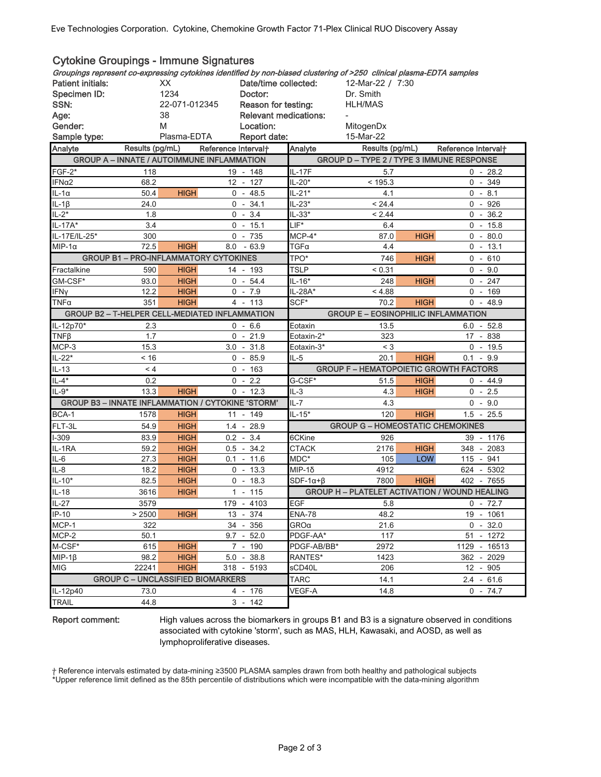| <b>Cytokine Groupings - Immune Signatures</b>                                                                        |                                      |                                              |     |                              |                                            |                                                      |              |                        |      |  |  |
|----------------------------------------------------------------------------------------------------------------------|--------------------------------------|----------------------------------------------|-----|------------------------------|--------------------------------------------|------------------------------------------------------|--------------|------------------------|------|--|--|
| Groupings represent co-expressing cytokines identified by non-biased clustering of >250 clinical plasma-EDTA samples |                                      |                                              |     |                              |                                            |                                                      |              |                        |      |  |  |
| <b>Patient initials:</b>                                                                                             | XX                                   |                                              |     | Date/time collected:         |                                            | 12-Mar-22 / 7:30                                     |              |                        |      |  |  |
| Specimen ID:                                                                                                         | 1234                                 |                                              |     | Doctor:                      |                                            | Dr. Smith                                            |              |                        |      |  |  |
| SSN:                                                                                                                 | Reason for testing:<br>22-071-012345 |                                              |     |                              |                                            | <b>HLH/MAS</b>                                       |              |                        |      |  |  |
| Age:                                                                                                                 | 38                                   |                                              |     | <b>Relevant medications:</b> |                                            |                                                      |              |                        |      |  |  |
| Gender:                                                                                                              | M                                    |                                              |     | Location:                    |                                            | MitogenDx                                            |              |                        |      |  |  |
| Sample type:                                                                                                         |                                      | Plasma-EDTA                                  |     | Report date:                 |                                            | 15-Mar-22                                            |              |                        |      |  |  |
| Analyte                                                                                                              | Results (pg/mL)                      |                                              |     | Reference Interval+          | Analyte                                    | Results (pg/mL)                                      |              | Reference Interval+    |      |  |  |
| <b>GROUP A - INNATE / AUTOIMMUNE INFLAMMATION</b>                                                                    |                                      |                                              |     |                              |                                            | <b>GROUP D - TYPE 2 / TYPE 3 IMMUNE RESPONSE</b>     |              |                        |      |  |  |
| $FGF-2*$                                                                                                             | 118                                  |                                              |     | 19 - 148                     | IL-17F                                     | 5.7                                                  |              | $0 - 28.2$             |      |  |  |
| IFNα2                                                                                                                | 68.2                                 |                                              |     | 12 - 127                     | IL-20*                                     | < 195.3                                              |              | $0 - 349$              |      |  |  |
| $IL-1\alpha$                                                                                                         | 50.4                                 | <b>HIGH</b>                                  |     | $0 - 48.5$                   | $IL-21*$                                   | 4.1                                                  |              | $0 - 8.1$              |      |  |  |
| IL-1 $\beta$                                                                                                         | 24.0                                 |                                              |     | $0 - 34.1$                   | IL-23*                                     | < 24.4                                               |              | $0 - 926$              |      |  |  |
| $IL-2*$                                                                                                              | 1.8                                  |                                              |     | $0 - 3.4$                    | $IL-33*$                                   | < 2.44                                               |              | 0<br>$\sim$            | 36.2 |  |  |
| IL-17A*                                                                                                              | 3.4                                  |                                              |     | $0 - 15.1$                   | $LIF^*$                                    | 6.4                                                  |              | $-15.8$<br>$\mathbf 0$ |      |  |  |
| IL-17E/IL-25*                                                                                                        | 300                                  |                                              |     | $0 - 735$                    | $MCP-4*$                                   | 87.0                                                 | <b>HIGH</b>  | $0 - 80.0$             |      |  |  |
| $MIP-1\alpha$                                                                                                        | 72.5                                 | <b>HIGH</b>                                  | 8.0 | $-63.9$                      | TGFα                                       | 4.4                                                  |              | $0 - 13.1$             |      |  |  |
|                                                                                                                      |                                      | <b>GROUP B1 - PRO-INFLAMMATORY CYTOKINES</b> |     |                              | TPO*                                       | 746                                                  | <b>HIGH</b>  | $0 -$                  | 610  |  |  |
| Fractalkine                                                                                                          | 590                                  | <b>HIGH</b>                                  |     | 14 - 193                     | <b>TSLP</b>                                | < 0.31                                               |              | $0 - 9.0$              |      |  |  |
| GM-CSF*                                                                                                              | 93.0                                 | <b>HIGH</b>                                  |     | $0 - 54.4$                   | $IL-16*$                                   | 248                                                  | <b>HIGH</b>  | $0 -$                  | 247  |  |  |
| <b>IFNy</b>                                                                                                          | 12.2                                 | <b>HIGH</b>                                  |     | $0 - 7.9$                    | IL-28A*                                    | < 4.88                                               |              | $0 - 169$              |      |  |  |
| TNFα                                                                                                                 | 351                                  | <b>HIGH</b>                                  |     | 4 - 113                      | SCF*                                       | 70.2                                                 | <b>HIGH</b>  | $0 - 48.9$             |      |  |  |
| <b>GROUP B2 - T-HELPER CELL-MEDIATED INFLAMMATION</b>                                                                |                                      |                                              |     |                              | <b>GROUP E - EOSINOPHILIC INFLAMMATION</b> |                                                      |              |                        |      |  |  |
| IL-12p70*                                                                                                            | 2.3                                  |                                              |     | $0 - 6.6$                    | Eotaxin                                    | 13.5                                                 |              | $6.0 - 52.8$           |      |  |  |
| $TNF\beta$                                                                                                           | 1.7                                  |                                              |     | $0 - 21.9$                   | Eotaxin-2*                                 | 323                                                  |              | 17 - 838               |      |  |  |
| MCP-3                                                                                                                | 15.3                                 |                                              |     | $3.0 - 31.8$                 | Eotaxin-3*                                 | $<$ 3                                                |              | $0 - 19.5$             |      |  |  |
| IL-22*                                                                                                               | ~16                                  |                                              |     | $0 - 85.9$                   | $IL-5$                                     | 20.1                                                 | <b>HIGH</b>  | $0.1 - 9.9$            |      |  |  |
| $IL-13$                                                                                                              | < 4                                  |                                              |     | $0 - 163$                    |                                            | <b>GROUP F - HEMATOPOIETIC GROWTH FACTORS</b>        |              |                        |      |  |  |
| $IL-4*$                                                                                                              | 0.2                                  |                                              |     | $0 - 2.2$                    | G-CSF*                                     | 51.5                                                 | <b>HIGH</b>  | 0<br>- 44.9            |      |  |  |
| $IL-9*$                                                                                                              | 13.3                                 | <b>HIGH</b>                                  |     | $0 - 12.3$                   | $IL-3$                                     | 4.3                                                  | <b>HIGH</b>  | $0 - 2.5$              |      |  |  |
| <b>GROUP B3 - INNATE INFLAMMATION / CYTOKINE 'STORM'</b>                                                             |                                      |                                              |     |                              | $IL - 7$                                   | 4.3                                                  |              | $0 - 9.0$              |      |  |  |
| BCA-1                                                                                                                | 1578                                 | <b>HIGH</b>                                  |     | 11 - 149                     | $IL-15*$                                   | 120                                                  | <b>HIGH</b>  | 1.5<br>$\sim$          | 25.5 |  |  |
| FLT-3L                                                                                                               | 54.9                                 | <b>HIGH</b>                                  |     | $1.4 - 28.9$                 |                                            | <b>GROUP G - HOMEOSTATIC CHEMOKINES</b>              |              |                        |      |  |  |
| $1 - 309$                                                                                                            | 83.9                                 | <b>HIGH</b>                                  |     | $0.2 - 3.4$                  | 6CKine                                     | 926                                                  |              | 39 - 1176              |      |  |  |
| IL-1RA                                                                                                               | 59.2                                 | <b>HIGH</b>                                  |     | $0.5 - 34.2$                 | <b>CTACK</b>                               | 2176                                                 | <b>HIGH</b>  | 348 - 2083             |      |  |  |
| IL-6                                                                                                                 | 27.3                                 | <b>HIGH</b>                                  |     | $0.1 - 11.6$                 | MDC*                                       | 105                                                  | <b>LOW</b>   | 115 - 941              |      |  |  |
| $IL-8$                                                                                                               | 18.2                                 | <b>HIGH</b>                                  |     | $0 - 13.3$                   | MIP-1δ                                     | 4912                                                 |              | 624 - 5302             |      |  |  |
| $IL-10*$                                                                                                             | 82.5                                 | <b>HIGH</b>                                  |     | $0 - 18.3$                   | $SDF-1\alpha+\beta$                        | 7800                                                 | <b>HIGH</b>  | 402 - 7655             |      |  |  |
| $IL-18$                                                                                                              | 3616                                 | <b>HIGH</b>                                  |     | $1 - 115$                    |                                            | <b>GROUP H - PLATELET ACTIVATION / WOUND HEALING</b> |              |                        |      |  |  |
| IL-27                                                                                                                | 3579                                 |                                              |     | 179 - 4103                   | EGF                                        | 5.8                                                  |              | $0 - 72.7$             |      |  |  |
| $IP-10$                                                                                                              | > 2500                               | <b>HIGH</b>                                  |     | 13 - 374                     | <b>ENA-78</b>                              | 48.2                                                 |              | 19 - 1061              |      |  |  |
| MCP-1                                                                                                                | 322                                  |                                              |     | 34 - 356                     | GROα                                       | 21.6                                                 |              | $0 - 32.0$             |      |  |  |
| MCP-2                                                                                                                | 50.1                                 |                                              |     | $9.7 - 52.0$                 | PDGF-AA*                                   | 117                                                  |              | 51 - 1272              |      |  |  |
| M-CSF*                                                                                                               | 615                                  | <b>HIGH</b>                                  |     | 7 - 190                      | PDGF-AB/BB*                                | 2972                                                 |              | 1129 - 16513           |      |  |  |
| $MIP-1\beta$                                                                                                         | 98.2                                 | <b>HIGH</b>                                  |     | $5.0 - 38.8$                 | RANTES*                                    | 1423                                                 |              | 362 - 2029             |      |  |  |
| <b>MIG</b>                                                                                                           | 22241                                | <b>HIGH</b>                                  |     | 318 - 5193                   | sCD40L                                     | 206                                                  |              | 12 - 905               |      |  |  |
|                                                                                                                      |                                      | <b>GROUP C - UNCLASSIFIED BIOMARKERS</b>     |     | <b>TARC</b>                  | 14.1                                       |                                                      | $2.4 - 61.6$ |                        |      |  |  |
| $IL-12p40$                                                                                                           | 73.0                                 |                                              |     | 4 - 176                      | VEGF-A                                     | 14.8                                                 |              | $0 - 74.7$             |      |  |  |
| <b>TRAIL</b>                                                                                                         | 44.8                                 |                                              |     | $3 - 142$                    |                                            |                                                      |              |                        |      |  |  |

## Report comment:

High values across the biomarkers in groups B1 and B3 is a signature observed in conditions associated with cytokine 'storm', such as MAS, HLH, Kawasaki, and AOSD, as well as lymphoproliferative diseases.

ⴕ Reference intervals estimated by data-mining ≥3500 PLASMA samples drawn from both healthy and pathological subjects

\*Upper reference limit defined as the 85th percentile of distributions which were incompatible with the data-mining algorithm